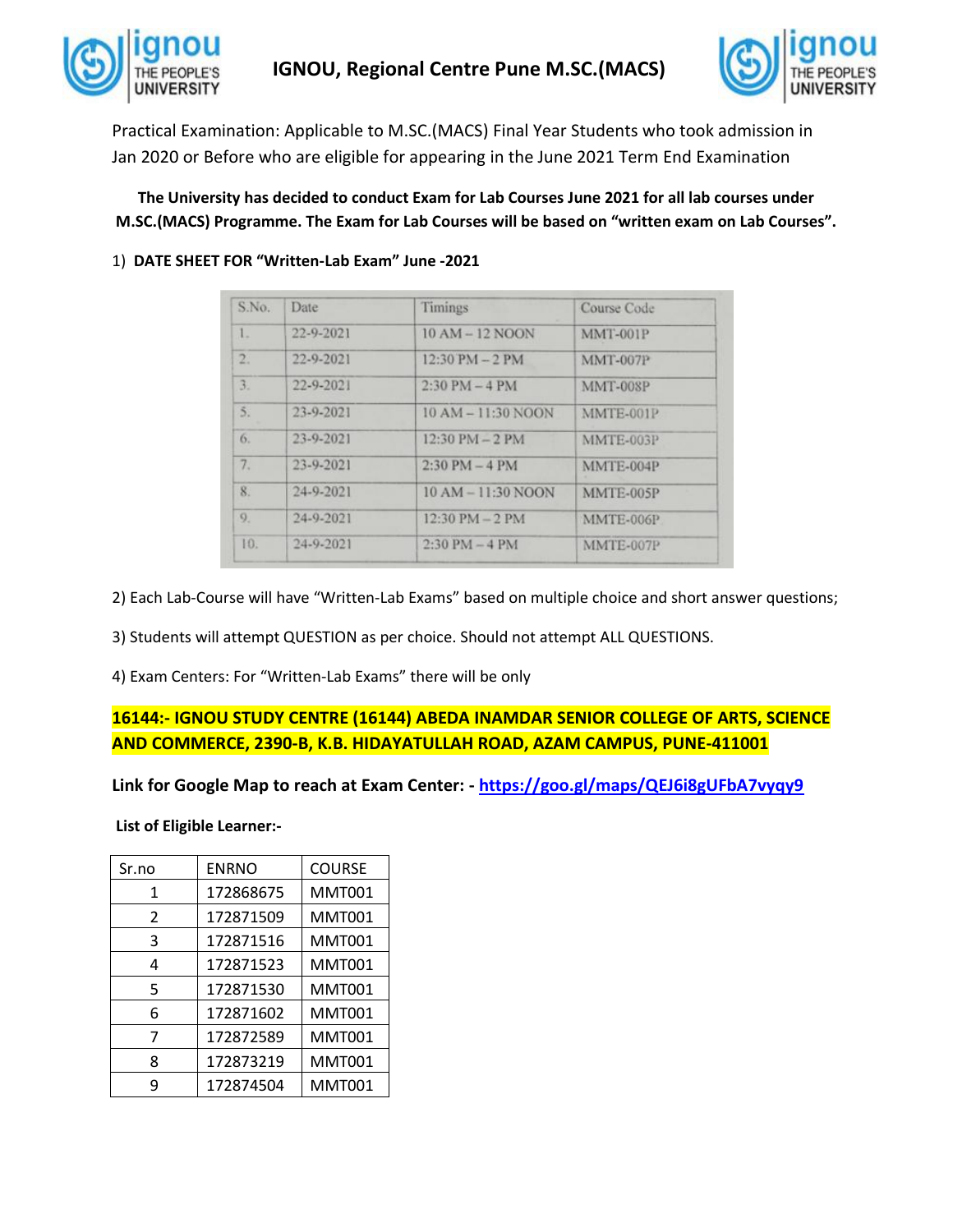



Practical Examination: Applicable to M.SC.(MACS) Final Year Students who took admission in Jan 2020 or Before who are eligible for appearing in the June 2021 Term End Examination

**The University has decided to conduct Exam for Lab Courses June 2021 for all lab courses under M.SC.(MACS) Programme. The Exam for Lab Courses will be based on "written exam on Lab Courses".**

## 1) **DATE SHEET FOR "Written-Lab Exam" June -2021**

| S.No. | Date      | Timings                           | Course Code     |
|-------|-----------|-----------------------------------|-----------------|
| 1.    | 22-9-2021 | $10 AM - 12 NOON$                 | MMT-001P        |
| 2.    | 22-9-2021 | $12:30 \text{ PM} - 2 \text{ PM}$ | <b>MMT-007P</b> |
| 3.    | 22-9-2021 | $2:30$ PM $-4$ PM                 | <b>MMT-008P</b> |
| 5.    | 23-9-2021 | $10 AM - 11:30 NQON$              | MMTE-001P       |
| 6.    | 23-9-2021 | $12:30 \text{ PM} - 2 \text{ PM}$ | MMTE-003P       |
| 7.    | 23-9-2021 | $2:30 \text{ PM} - 4 \text{ PM}$  | MMTE-004P       |
| 8.    | 24-9-2021 | $10 AM - 11:30 N OON$             | MMTE-005P       |
| 9.    | 24-9-2021 | $12:30 \text{ PM} - 2 \text{ PM}$ | MMTE-006P       |
| 10.   | 24-9-2021 | $2:30$ PM $-4$ PM                 | MMTE-007P       |

2) Each Lab-Course will have "Written-Lab Exams" based on multiple choice and short answer questions;

3) Students will attempt QUESTION as per choice. Should not attempt ALL QUESTIONS.

4) Exam Centers: For "Written-Lab Exams" there will be only

## **16144:- IGNOU STUDY CENTRE (16144) ABEDA INAMDAR SENIOR COLLEGE OF ARTS, SCIENCE AND COMMERCE, 2390-B, K.B. HIDAYATULLAH ROAD, AZAM CAMPUS, PUNE-411001**

**Link for Google Map to reach at Exam Center: - <https://goo.gl/maps/QEJ6i8gUFbA7vyqy9>**

**List of Eligible Learner:-**

| Sr.no          | <b>ENRNO</b> | <b>COURSE</b> |
|----------------|--------------|---------------|
| 1              | 172868675    | MMT001        |
| $\overline{2}$ | 172871509    | <b>MMT001</b> |
| 3              | 172871516    | <b>MMT001</b> |
| 4              | 172871523    | <b>MMT001</b> |
| 5              | 172871530    | MMT001        |
| 6              | 172871602    | <b>MMT001</b> |
|                | 172872589    | <b>MMT001</b> |
| 8              | 172873219    | <b>MMT001</b> |
| q              | 172874504    | MMT001        |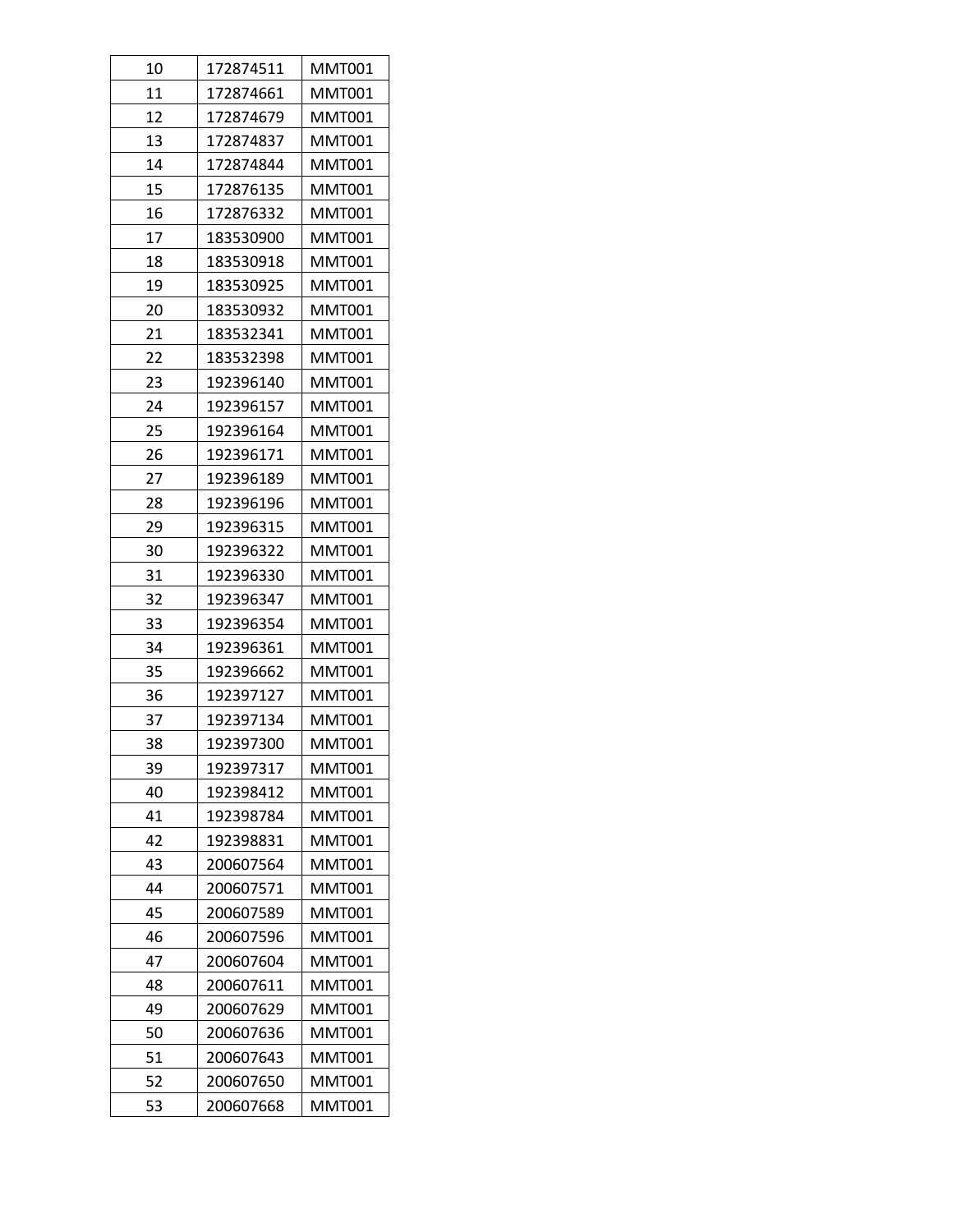| 10 | 172874511 | <b>MMT001</b> |
|----|-----------|---------------|
| 11 | 172874661 | MMT001        |
| 12 | 172874679 | MMT001        |
| 13 | 172874837 | MMT001        |
| 14 | 172874844 | MMT001        |
| 15 | 172876135 | MMT001        |
| 16 | 172876332 | MMT001        |
| 17 | 183530900 | MMT001        |
| 18 | 183530918 | MMT001        |
| 19 | 183530925 | MMT001        |
| 20 | 183530932 | MMT001        |
| 21 | 183532341 | MMT001        |
| 22 | 183532398 | <b>MMT001</b> |
| 23 | 192396140 | MMT001        |
| 24 | 192396157 | MMT001        |
| 25 | 192396164 | MMT001        |
| 26 | 192396171 | <b>MMT001</b> |
| 27 | 192396189 | MMT001        |
| 28 | 192396196 | MMT001        |
| 29 | 192396315 | MMT001        |
| 30 | 192396322 | MMT001        |
| 31 | 192396330 | MMT001        |
| 32 | 192396347 | MMT001        |
| 33 | 192396354 | MMT001        |
| 34 | 192396361 | MMT001        |
| 35 | 192396662 | MMT001        |
| 36 | 192397127 | MMT001        |
| 37 | 192397134 | <b>MMT001</b> |
| 38 | 192397300 | <b>MMT001</b> |
| 39 | 192397317 | <b>MMT001</b> |
| 40 | 192398412 | <b>MMT001</b> |
| 41 | 192398784 | <b>MMT001</b> |
| 42 | 192398831 | MMT001        |
| 43 | 200607564 | MMT001        |
| 44 | 200607571 | MMT001        |
| 45 | 200607589 | MMT001        |
| 46 | 200607596 | <b>MMT001</b> |
| 47 | 200607604 | MMT001        |
| 48 | 200607611 | MMT001        |
| 49 | 200607629 | MMT001        |
| 50 | 200607636 | MMT001        |
| 51 | 200607643 | MMT001        |
| 52 | 200607650 | MMT001        |
| 53 | 200607668 | MMT001        |
|    |           |               |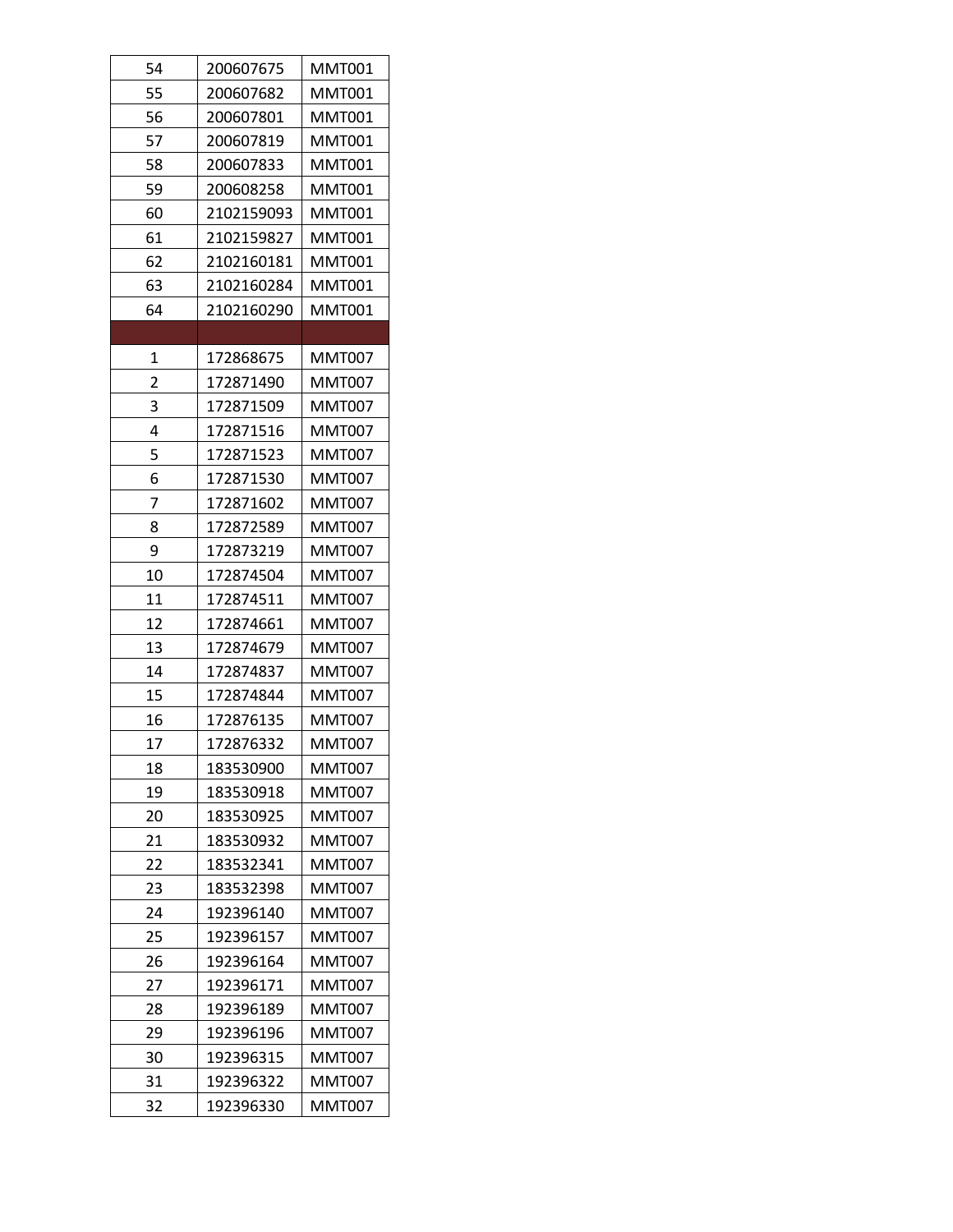| 54 | 200607675  | <b>MMT001</b> |
|----|------------|---------------|
| 55 | 200607682  | MMT001        |
| 56 | 200607801  | MMT001        |
| 57 | 200607819  | MMT001        |
| 58 | 200607833  | MMT001        |
| 59 | 200608258  | <b>MMT001</b> |
| 60 | 2102159093 | <b>MMT001</b> |
| 61 | 2102159827 | MMT001        |
| 62 | 2102160181 | MMT001        |
| 63 | 2102160284 | MMT001        |
| 64 | 2102160290 | MMT001        |
|    |            |               |
| 1  | 172868675  | <b>MMT007</b> |
| 2  | 172871490  | <b>MMT007</b> |
| 3  | 172871509  | MMT007        |
| 4  | 172871516  | <b>MMT007</b> |
| 5  | 172871523  | MMT007        |
| 6  | 172871530  | MMT007        |
| 7  | 172871602  | <b>MMT007</b> |
| 8  | 172872589  | <b>MMT007</b> |
| 9  | 172873219  | MMT007        |
| 10 | 172874504  | <b>MMT007</b> |
| 11 | 172874511  | MMT007        |
| 12 | 172874661  | MMT007        |
| 13 | 172874679  | MMT007        |
| 14 | 172874837  | MMT007        |
| 15 | 172874844  | <b>MMT007</b> |
| 16 | 172876135  | MMT007        |
| 17 | 172876332  | <b>MMT007</b> |
| 18 | 183530900  | MMT007        |
| 19 | 183530918  | <b>MMT007</b> |
| 20 | 183530925  | MMT007        |
| 21 | 183530932  | MMT007        |
| 22 | 183532341  | <b>MMT007</b> |
| 23 | 183532398  | <b>MMT007</b> |
| 24 | 192396140  | <b>MMT007</b> |
| 25 | 192396157  | <b>MMT007</b> |
| 26 | 192396164  | MMT007        |
| 27 | 192396171  | <b>MMT007</b> |
| 28 | 192396189  | MMT007        |
| 29 | 192396196  | MMT007        |
| 30 | 192396315  | MMT007        |
| 31 | 192396322  | MMT007        |
| 32 | 192396330  | <b>MMT007</b> |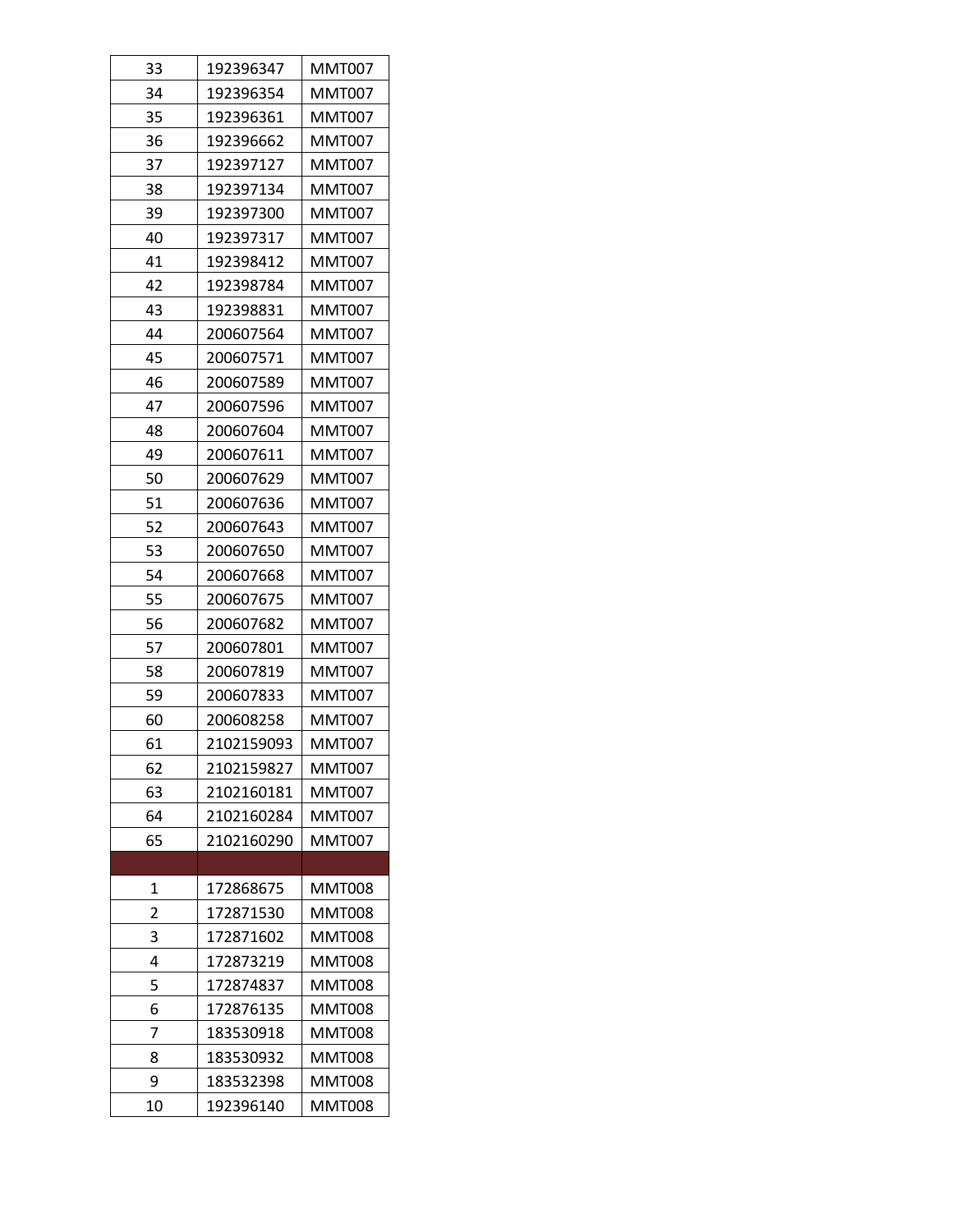| 33 | 192396347  | <b>MMT007</b> |
|----|------------|---------------|
| 34 | 192396354  | MMT007        |
| 35 | 192396361  | MMT007        |
| 36 | 192396662  | MMT007        |
| 37 | 192397127  | MMT007        |
| 38 | 192397134  | <b>MMT007</b> |
| 39 | 192397300  | MMT007        |
| 40 | 192397317  | MMT007        |
| 41 | 192398412  | MMT007        |
| 42 | 192398784  | MMT007        |
| 43 | 192398831  | MMT007        |
| 44 | 200607564  | MMT007        |
| 45 | 200607571  | <b>MMT007</b> |
| 46 | 200607589  | MMT007        |
| 47 | 200607596  | <b>MMT007</b> |
| 48 | 200607604  | <b>MMT007</b> |
| 49 | 200607611  | <b>MMT007</b> |
| 50 | 200607629  | MMT007        |
| 51 | 200607636  | MMT007        |
| 52 | 200607643  | MMT007        |
| 53 | 200607650  | MMT007        |
| 54 | 200607668  | MMT007        |
| 55 | 200607675  | MMT007        |
| 56 | 200607682  | MMT007        |
| 57 | 200607801  | MMT007        |
| 58 | 200607819  | MMT007        |
| 59 | 200607833  | <b>MMT007</b> |
| 60 | 200608258  | <b>MMT007</b> |
| 61 | 2102159093 | <b>MMT007</b> |
| 62 | 2102159827 | MMT007        |
| 63 | 2102160181 | <b>MMT007</b> |
| 64 | 2102160284 | <b>MMT007</b> |
| 65 | 2102160290 | <b>MMT007</b> |
|    |            |               |
| 1  | 172868675  | <b>MMT008</b> |
| 2  | 172871530  | <b>MMT008</b> |
| 3  | 172871602  | <b>MMT008</b> |
| 4  | 172873219  | MMT008        |
| 5  | 172874837  | MMT008        |
| 6  | 172876135  | MMT008        |
| 7  | 183530918  | MMT008        |
| 8  | 183530932  | <b>MMT008</b> |
| 9  | 183532398  | <b>MMT008</b> |
| 10 | 192396140  | MMT008        |